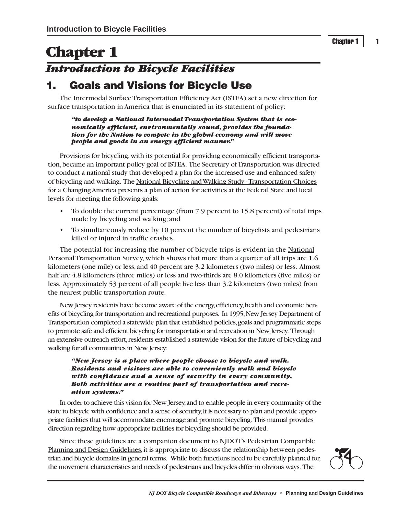1

# **Chapter 1** *Introduction to Bicycle Facilities*

## **1. Goals and Visions for Bicycle Use**

The Intermodal Surface Transportation Efficiency Act (ISTEA) set a new direction for surface transportation in America that is enunciated in its statement of policy:

*"to develop a National Intermodal Transportation System that is economically efficient, environmentally sound, provides the foundation for the Nation to compete in the global economy and will move people and goods in an energy efficient manner."*

Provisions for bicycling, with its potential for providing economically efficient transportation, became an important policy goal of ISTEA. The Secretary of Transportation was directed to conduct a national study that developed a plan for the increased use and enhanced safety of bicycling and walking. The National Bicycling and Walking Study - Transportation Choices for a Changing America presents a plan of action for activities at the Federal, State and local levels for meeting the following goals:

- To double the current percentage (from 7.9 percent to 15.8 percent) of total trips made by bicycling and walking; and
- To simultaneously reduce by 10 percent the number of bicyclists and pedestrians killed or injured in traffic crashes.

The potential for increasing the number of bicycle trips is evident in the National Personal Transportation Survey, which shows that more than a quarter of all trips are 1.6 kilometers (one mile) or less, and 40 percent are 3.2 kilometers (two miles) or less. Almost half are 4.8 kilometers (three miles) or less and two-thirds are 8.0 kilometers (five miles) or less. Approximately 53 percent of all people live less than 3.2 kilometers (two miles) from the nearest public transportation route.

New Jersey residents have become aware of the energy, efficiency, health and economic benefits of bicycling for transportation and recreational purposes. In 1995, New Jersey Department of Transportation completed a statewide plan that established policies, goals and programmatic steps to promote safe and efficient bicycling for transportation and recreation in New Jersey. Through an extensive outreach effort, residents established a statewide vision for the future of bicycling and walking for all communities in New Jersey:

*"New Jersey is a place where people choose to bicycle and walk. Residents and visitors are able to conveniently walk and bicycle with confidence and a sense of security in every community. Both activities are a routine part of transportation and recreation systems."*

In order to achieve this vision for New Jersey, and to enable people in every community of the state to bicycle with confidence and a sense of security, it is necessary to plan and provide appropriate facilities that will accommodate, encourage and promote bicycling. This manual provides direction regarding how appropriate facilities for bicycling should be provided.

Since these guidelines are a companion document to NJDOT's Pedestrian Compatible Planning and Design Guidelines, it is appropriate to discuss the relationship between pedestrian and bicycle domains in general terms. While both functions need to be carefully planned for, the movement characteristics and needs of pedestrians and bicycles differ in obvious ways. The

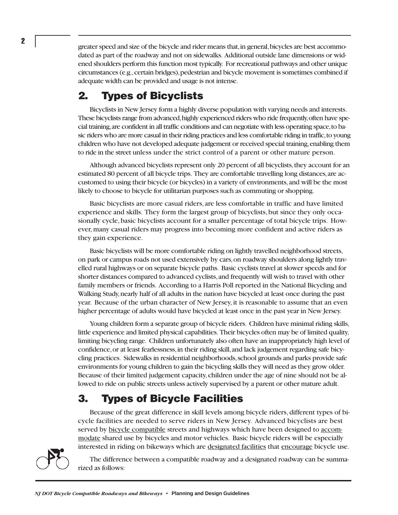greater speed and size of the bicycle and rider means that, in general, bicycles are best accommodated as part of the roadway and not on sidewalks. Additional outside lane dimensions or widened shoulders perform this function most typically. For recreational pathways and other unique circumstances (e.g., certain bridges), pedestrian and bicycle movement is sometimes combined if adequate width can be provided and usage is not intense.

### **2. Types of Bicyclists**

Bicyclists in New Jersey form a highly diverse population with varying needs and interests. These bicyclists range from advanced, highly experienced riders who ride frequently, often have special training, are confident in all traffic conditions and can negotiate with less operating space, to basic riders who are more casual in their riding practices and less comfortable riding in traffic, to young children who have not developed adequate judgement or received special training, enabling them to ride in the street unless under the strict control of a parent or other mature person.

Although advanced bicyclists represent only 20 percent of all bicyclists, they account for an estimated 80 percent of all bicycle trips. They are comfortable travelling long distances, are accustomed to using their bicycle (or bicycles) in a variety of environments, and will be the most likely to choose to bicycle for utilitarian purposes such as commuting or shopping.

Basic bicyclists are more casual riders, are less comfortable in traffic and have limited experience and skills. They form the largest group of bicyclists, but since they only occasionally cycle, basic bicyclists account for a smaller percentage of total bicycle trips. However, many casual riders may progress into becoming more confident and active riders as they gain experience.

Basic bicyclists will be more comfortable riding on lightly travelled neighborhood streets, on park or campus roads not used extensively by cars, on roadway shoulders along lightly travelled rural highways or on separate bicycle paths. Basic cyclists travel at slower speeds and for shorter distances compared to advanced cyclists, and frequently will wish to travel with other family members or friends. According to a Harris Poll reported in the National Bicycling and Walking Study, nearly half of all adults in the nation have bicycled at least once during the past year. Because of the urban character of New Jersey, it is reasonable to assume that an even higher percentage of adults would have bicycled at least once in the past year in New Jersey.

Young children form a separate group of bicycle riders. Children have minimal riding skills, little experience and limited physical capabilities. Their bicycles often may be of limited quality, limiting bicycling range. Children unfortunately also often have an inappropriately high level of confidence, or at least fearlessness, in their riding skill, and lack judgement regarding safe bicycling practices. Sidewalks in residential neighborhoods, school grounds and parks provide safe environments for young children to gain the bicycling skills they will need as they grow older. Because of their limited judgement capacity, children under the age of nine should not be allowed to ride on public streets unless actively supervised by a parent or other mature adult.

## **3. Types of Bicycle Facilities**

Because of the great difference in skill levels among bicycle riders, different types of bicycle facilities are needed to serve riders in New Jersey. Advanced bicyclists are best served by bicycle compatible streets and highways which have been designed to accommodate shared use by bicycles and motor vehicles. Basic bicycle riders will be especially interested in riding on bikeways which are designated facilities that encourage bicycle use.



The difference between a compatible roadway and a designated roadway can be summarized as follows: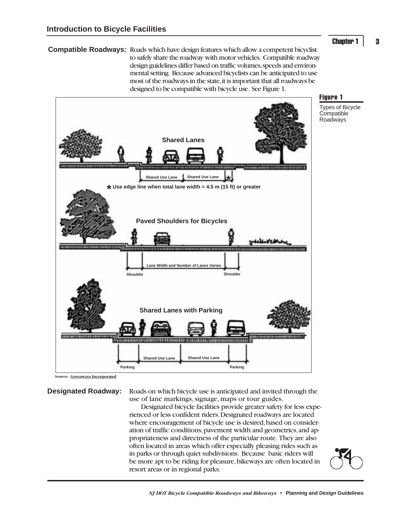#### **Chapter 1**

3

**Compatible Roadways:** Roads which have design features which allow a competent bicyclist to safely share the roadway with motor vehicles. Compatible roadway design guidelines differ based on traffic volumes, speeds and environmental setting. Because advanced bicyclists can be anticipated to use most of the roadways in the state, it is important that all roadways be designed to be compatible with bicycle use. See Figure 1.



**Source: Greenways Incorporated**

**Designated Roadway:** Roads on which bicycle use is anticipated and invited through the use of lane markings, signage, maps or tour guides.

Designated bicycle facilities provide greater safety for less experienced or less confident riders. Designated roadways are located where encouragement of bicycle use is desired, based on consideration of traffic conditions, pavement width and geometrics, and appropriateness and directness of the particular route. They are also often located in areas which offer especially pleasing rides such as in parks or through quiet subdivisions. Because basic riders will be more apt to be riding for pleasure, bikeways are often located in resort areas or in regional parks.

#### Figure 1

Types of Bicycle **Compatible** Roadways